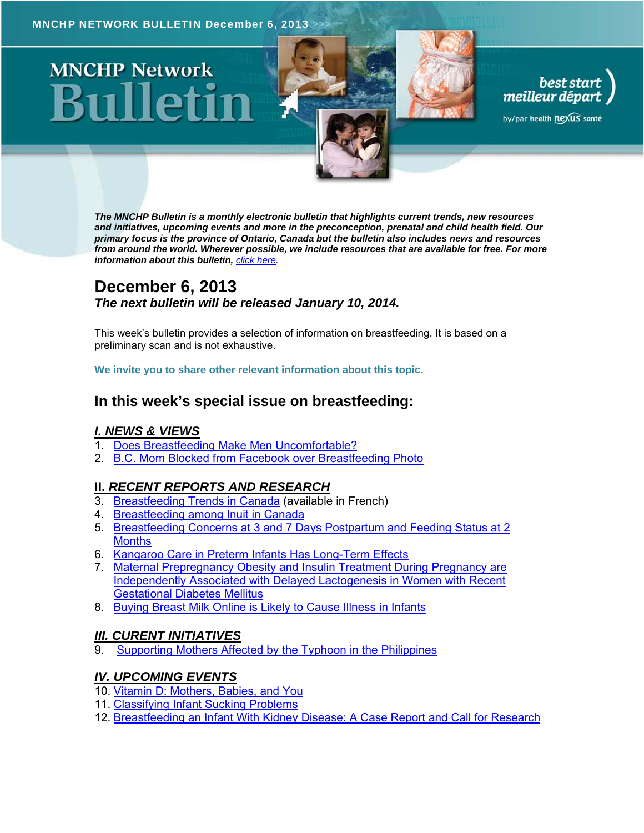# **MNCHP Network**

*The MNCHP Bulletin is a monthly electronic bulletin that highlights current trends, new resources and initiatives, upcoming events and more in the preconception, prenatal and child health field. Our primary focus is the province of Ontario, Canada but the bulletin also includes news and resources from around the world. Wherever possible, we include resources that are available for free. For more information about this bulletin, click here.* 

best start<br>meilleur départ

by/par health nexus santé

# **December 6, 2013**  *The next bulletin will be released January 10, 2014.*

This week's bulletin provides a selection of information on breastfeeding. It is based on a preliminary scan and is not exhaustive.

**We invite you to share other relevant information about this topic.** 

## **In this week's special issue on breastfeeding:**

#### *I. NEWS & VIEWS*

- 1. Does Breastfeeding Make Men Uncomfortable?
- 2. B.C. Mom Blocked from Facebook over Breastfeeding Photo

#### **II.** *RECENT REPORTS AND RESEARCH*

- 3. Breastfeeding Trends in Canada (available in French)
- 4. Breastfeeding among Inuit in Canada
- 5. Breastfeeding Concerns at 3 and 7 Days Postpartum and Feeding Status at 2 **Months**
- 6. Kangaroo Care in Preterm Infants Has Long-Term Effects
- 7. Maternal Prepregnancy Obesity and Insulin Treatment During Pregnancy are Independently Associated with Delayed Lactogenesis in Women with Recent Gestational Diabetes Mellitus
- 8. Buying Breast Milk Online is Likely to Cause Illness in Infants

#### *III. CURENT INITIATIVES*

Supporting Mothers Affected by the Typhoon in the Philippines

#### *IV. UPCOMING EVENTS*

- 10. Vitamin D: Mothers, Babies, and You
- 11. Classifying Infant Sucking Problems
- 12. Breastfeeding an Infant With Kidney Disease: A Case Report and Call for Research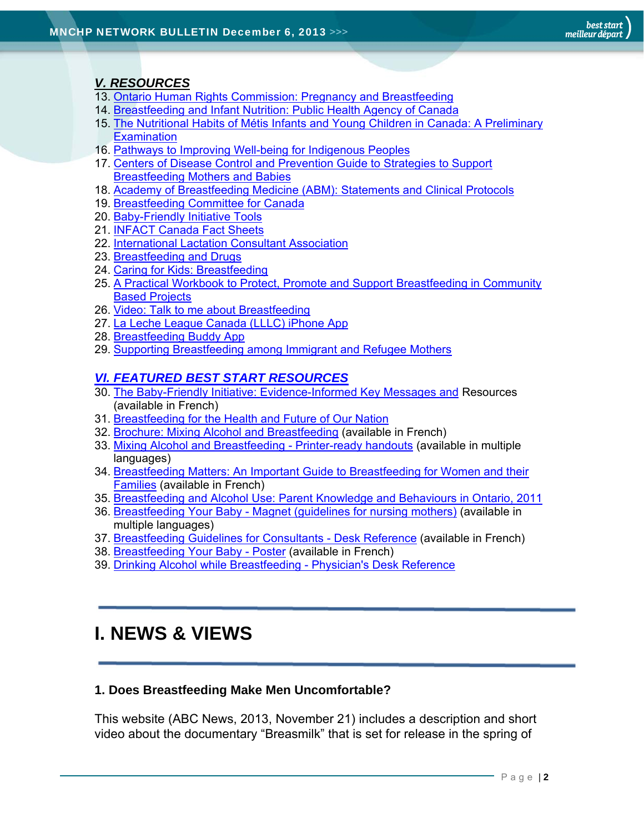## *V. RESOURCES*

- 13. Ontario Human Rights Commission: Pregnancy and Breastfeeding
- 14. Breastfeeding and Infant Nutrition: Public Health Agency of Canada
- 15. The Nutritional Habits of Métis Infants and Young Children in Canada: A Preliminary **Examination**
- 16. Pathways to Improving Well-being for Indigenous Peoples
- 17. Centers of Disease Control and Prevention Guide to Strategies to Support Breastfeeding Mothers and Babies
- 18. Academy of Breastfeeding Medicine (ABM): Statements and Clinical Protocols
- 19. Breastfeeding Committee for Canada
- 20. Baby-Friendly Initiative Tools
- 21. INFACT Canada Fact Sheets
- 22. International Lactation Consultant Association
- 23. Breastfeeding and Drugs
- 24. Caring for Kids: Breastfeeding
- 25. A Practical Workbook to Protect, Promote and Support Breastfeeding in Community Based Projects
- 26. Video: Talk to me about Breastfeeding
- 27. La Leche League Canada (LLLC) iPhone App
- 28. Breastfeeding Buddy App
- 29. Supporting Breastfeeding among Immigrant and Refugee Mothers

## *VI. FEATURED BEST START RESOURCES*

- 30. The Baby-Friendly Initiative: Evidence-Informed Key Messages and Resources (available in French)
- 31. Breastfeeding for the Health and Future of Our Nation
- 32. Brochure: Mixing Alcohol and Breastfeeding (available in French)
- 33. Mixing Alcohol and Breastfeeding Printer-ready handouts (available in multiple languages)
- 34. Breastfeeding Matters: An Important Guide to Breastfeeding for Women and their Families (available in French)
- 35. Breastfeeding and Alcohol Use: Parent Knowledge and Behaviours in Ontario, 2011
- 36. Breastfeeding Your Baby Magnet (guidelines for nursing mothers) (available in multiple languages)
- 37. Breastfeeding Guidelines for Consultants Desk Reference (available in French)
- 38. Breastfeeding Your Baby Poster (available in French)
- 39. Drinking Alcohol while Breastfeeding Physician's Desk Reference

# **I. NEWS & VIEWS**

## **1. Does Breastfeeding Make Men Uncomfortable?**

This website (ABC News, 2013, November 21) includes a description and short video about the documentary "Breasmilk" that is set for release in the spring of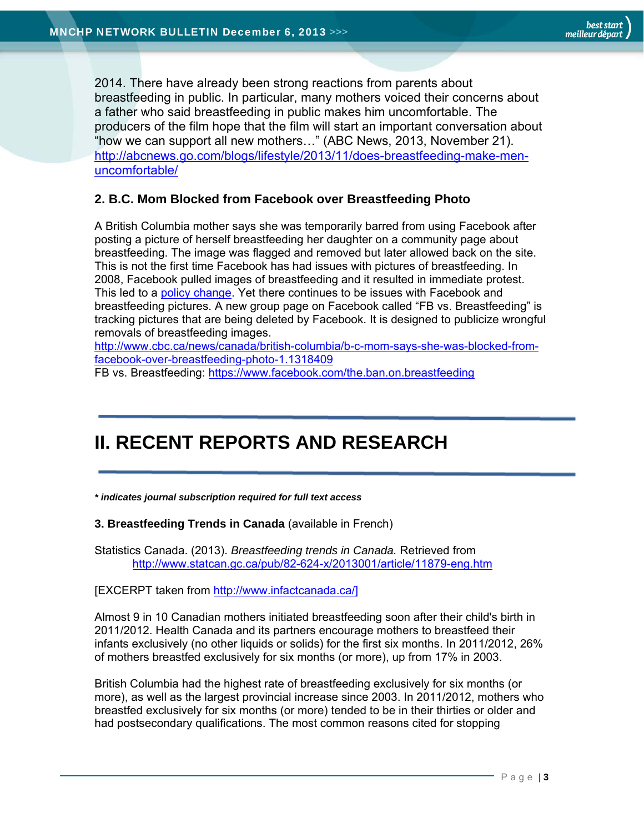2014. There have already been strong reactions from parents about breastfeeding in public. In particular, many mothers voiced their concerns about a father who said breastfeeding in public makes him uncomfortable. The producers of the film hope that the film will start an important conversation about "how we can support all new mothers…" (ABC News, 2013, November 21). http://abcnews.go.com/blogs/lifestyle/2013/11/does-breastfeeding-make-menuncomfortable/

### **2. B.C. Mom Blocked from Facebook over Breastfeeding Photo**

A British Columbia mother says she was temporarily barred from using Facebook after posting a picture of herself breastfeeding her daughter on a community page about breastfeeding. The image was flagged and removed but later allowed back on the site. This is not the first time Facebook has had issues with pictures of breastfeeding. In 2008, Facebook pulled images of breastfeeding and it resulted in immediate protest. This led to a policy change. Yet there continues to be issues with Facebook and breastfeeding pictures. A new group page on Facebook called "FB vs. Breastfeeding" is tracking pictures that are being deleted by Facebook. It is designed to publicize wrongful removals of breastfeeding images.

http://www.cbc.ca/news/canada/british-columbia/b-c-mom-says-she-was-blocked-fromfacebook-over-breastfeeding-photo-1.1318409

FB vs. Breastfeeding: https://www.facebook.com/the.ban.on.breastfeeding

# **II. RECENT REPORTS AND RESEARCH**

*\* indicates journal subscription required for full text access*

**3. Breastfeeding Trends in Canada** (available in French)

Statistics Canada. (2013). *Breastfeeding trends in Canada.* Retrieved from http://www.statcan.gc.ca/pub/82-624-x/2013001/article/11879-eng.htm

#### [EXCERPT taken from http://www.infactcanada.ca/]

Almost 9 in 10 Canadian mothers initiated breastfeeding soon after their child's birth in 2011/2012. Health Canada and its partners encourage mothers to breastfeed their infants exclusively (no other liquids or solids) for the first six months. In 2011/2012, 26% of mothers breastfed exclusively for six months (or more), up from 17% in 2003.

British Columbia had the highest rate of breastfeeding exclusively for six months (or more), as well as the largest provincial increase since 2003. In 2011/2012, mothers who breastfed exclusively for six months (or more) tended to be in their thirties or older and had postsecondary qualifications. The most common reasons cited for stopping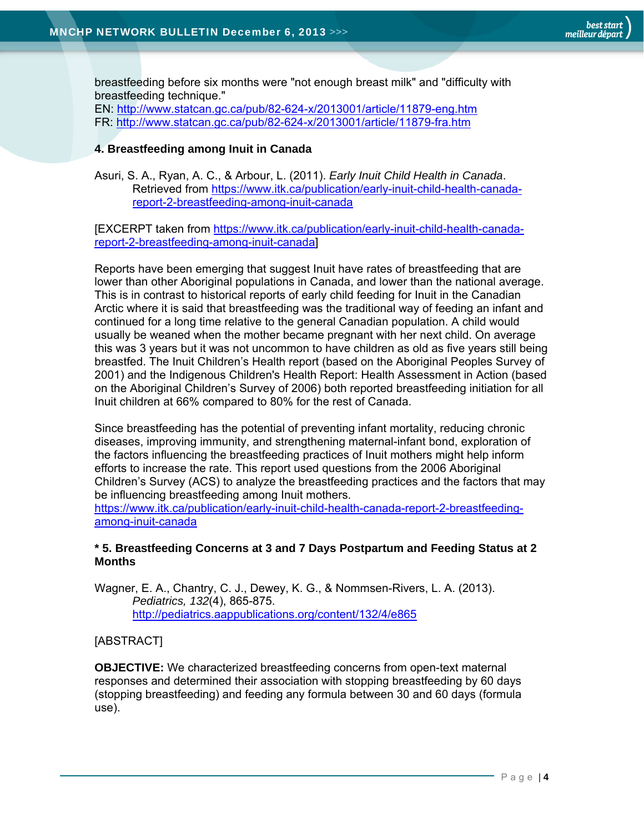breastfeeding before six months were "not enough breast milk" and "difficulty with breastfeeding technique."

EN: http://www.statcan.gc.ca/pub/82-624-x/2013001/article/11879-eng.htm FR: http://www.statcan.gc.ca/pub/82-624-x/2013001/article/11879-fra.htm

#### **4. Breastfeeding among Inuit in Canada**

Asuri, S. A., Ryan, A. C., & Arbour, L. (2011). *Early Inuit Child Health in Canada*. Retrieved from https://www.itk.ca/publication/early-inuit-child-health-canadareport-2-breastfeeding-among-inuit-canada

[EXCERPT taken from https://www.itk.ca/publication/early-inuit-child-health-canadareport-2-breastfeeding-among-inuit-canada]

Reports have been emerging that suggest Inuit have rates of breastfeeding that are lower than other Aboriginal populations in Canada, and lower than the national average. This is in contrast to historical reports of early child feeding for Inuit in the Canadian Arctic where it is said that breastfeeding was the traditional way of feeding an infant and continued for a long time relative to the general Canadian population. A child would usually be weaned when the mother became pregnant with her next child. On average this was 3 years but it was not uncommon to have children as old as five years still being breastfed. The Inuit Children's Health report (based on the Aboriginal Peoples Survey of 2001) and the Indigenous Children's Health Report: Health Assessment in Action (based on the Aboriginal Children's Survey of 2006) both reported breastfeeding initiation for all Inuit children at 66% compared to 80% for the rest of Canada.

Since breastfeeding has the potential of preventing infant mortality, reducing chronic diseases, improving immunity, and strengthening maternal-infant bond, exploration of the factors influencing the breastfeeding practices of Inuit mothers might help inform efforts to increase the rate. This report used questions from the 2006 Aboriginal Children's Survey (ACS) to analyze the breastfeeding practices and the factors that may be influencing breastfeeding among Inuit mothers.

https://www.itk.ca/publication/early-inuit-child-health-canada-report-2-breastfeedingamong-inuit-canada

#### **\* 5. Breastfeeding Concerns at 3 and 7 Days Postpartum and Feeding Status at 2 Months**

Wagner, E. A., Chantry, C. J., Dewey, K. G., & Nommsen-Rivers, L. A. (2013). *Pediatrics, 132*(4), 865-875. http://pediatrics.aappublications.org/content/132/4/e865

#### [ABSTRACT]

**OBJECTIVE:** We characterized breastfeeding concerns from open-text maternal responses and determined their association with stopping breastfeeding by 60 days (stopping breastfeeding) and feeding any formula between 30 and 60 days (formula use).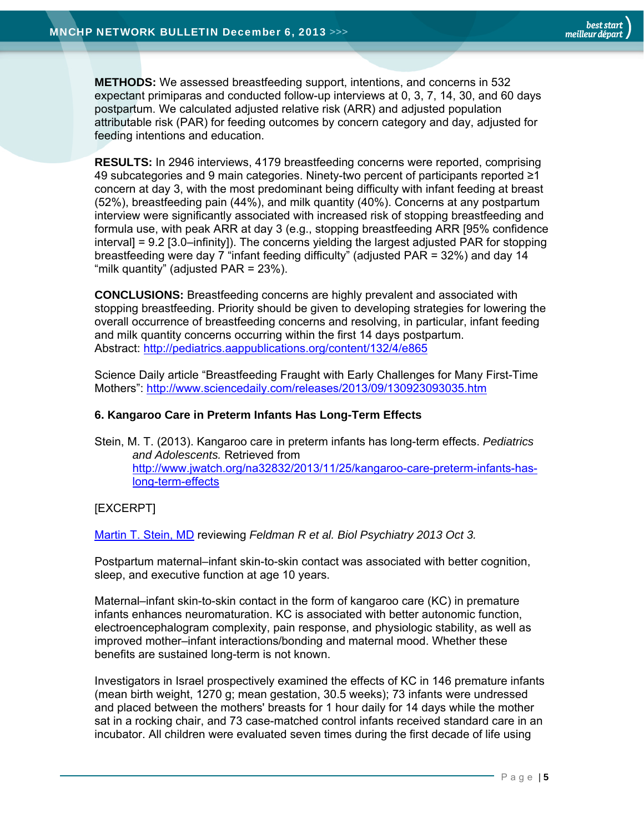**METHODS:** We assessed breastfeeding support, intentions, and concerns in 532 expectant primiparas and conducted follow-up interviews at 0, 3, 7, 14, 30, and 60 days postpartum. We calculated adjusted relative risk (ARR) and adjusted population attributable risk (PAR) for feeding outcomes by concern category and day, adjusted for feeding intentions and education.

**RESULTS:** In 2946 interviews, 4179 breastfeeding concerns were reported, comprising 49 subcategories and 9 main categories. Ninety-two percent of participants reported ≥1 concern at day 3, with the most predominant being difficulty with infant feeding at breast (52%), breastfeeding pain (44%), and milk quantity (40%). Concerns at any postpartum interview were significantly associated with increased risk of stopping breastfeeding and formula use, with peak ARR at day 3 (e.g., stopping breastfeeding ARR [95% confidence interval] = 9.2 [3.0–infinity]). The concerns yielding the largest adjusted PAR for stopping breastfeeding were day 7 "infant feeding difficulty" (adjusted PAR = 32%) and day 14 "milk quantity" (adjusted  $PAR = 23\%$ ).

**CONCLUSIONS:** Breastfeeding concerns are highly prevalent and associated with stopping breastfeeding. Priority should be given to developing strategies for lowering the overall occurrence of breastfeeding concerns and resolving, in particular, infant feeding and milk quantity concerns occurring within the first 14 days postpartum. Abstract: http://pediatrics.aappublications.org/content/132/4/e865

Science Daily article "Breastfeeding Fraught with Early Challenges for Many First-Time Mothers": http://www.sciencedaily.com/releases/2013/09/130923093035.htm

#### **6. Kangaroo Care in Preterm Infants Has Long-Term Effects**

Stein, M. T. (2013). Kangaroo care in preterm infants has long-term effects. *Pediatrics and Adolescents.* Retrieved from http://www.jwatch.org/na32832/2013/11/25/kangaroo-care-preterm-infants-haslong-term-effects

#### [EXCERPT]

Martin T. Stein, MD reviewing *Feldman R et al. Biol Psychiatry 2013 Oct 3.* 

Postpartum maternal–infant skin-to-skin contact was associated with better cognition, sleep, and executive function at age 10 years.

Maternal–infant skin-to-skin contact in the form of kangaroo care (KC) in premature infants enhances neuromaturation. KC is associated with better autonomic function, electroencephalogram complexity, pain response, and physiologic stability, as well as improved mother–infant interactions/bonding and maternal mood. Whether these benefits are sustained long-term is not known.

Investigators in Israel prospectively examined the effects of KC in 146 premature infants (mean birth weight, 1270 g; mean gestation, 30.5 weeks); 73 infants were undressed and placed between the mothers' breasts for 1 hour daily for 14 days while the mother sat in a rocking chair, and 73 case-matched control infants received standard care in an incubator. All children were evaluated seven times during the first decade of life using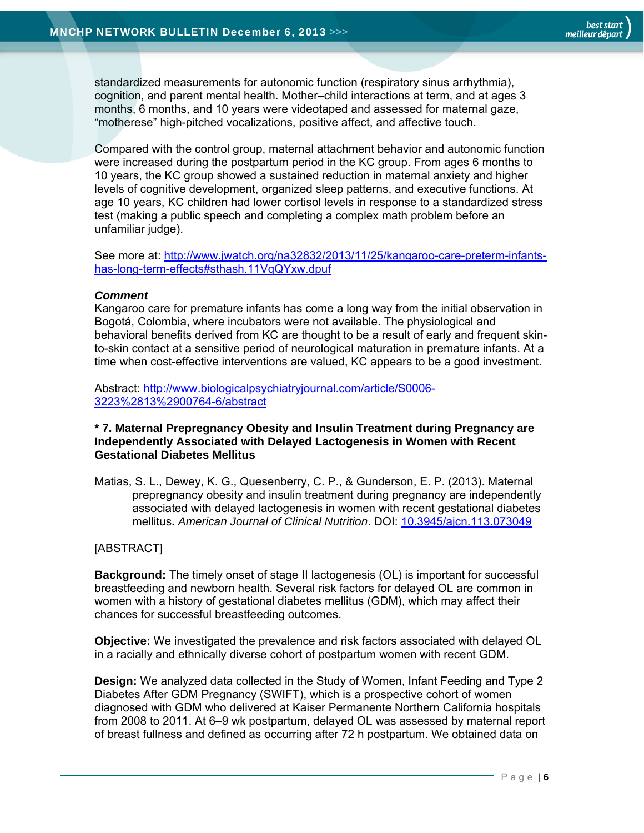standardized measurements for autonomic function (respiratory sinus arrhythmia), cognition, and parent mental health. Mother–child interactions at term, and at ages 3 months, 6 months, and 10 years were videotaped and assessed for maternal gaze, "motherese" high-pitched vocalizations, positive affect, and affective touch.

Compared with the control group, maternal attachment behavior and autonomic function were increased during the postpartum period in the KC group. From ages 6 months to 10 years, the KC group showed a sustained reduction in maternal anxiety and higher levels of cognitive development, organized sleep patterns, and executive functions. At age 10 years, KC children had lower cortisol levels in response to a standardized stress test (making a public speech and completing a complex math problem before an unfamiliar judge).

See more at: http://www.jwatch.org/na32832/2013/11/25/kangaroo-care-preterm-infantshas-long-term-effects#sthash.11VqQYxw.dpuf

#### *Comment*

Kangaroo care for premature infants has come a long way from the initial observation in Bogotá, Colombia, where incubators were not available. The physiological and behavioral benefits derived from KC are thought to be a result of early and frequent skinto-skin contact at a sensitive period of neurological maturation in premature infants. At a time when cost-effective interventions are valued, KC appears to be a good investment.

Abstract: http://www.biologicalpsychiatryjournal.com/article/S0006- 3223%2813%2900764-6/abstract

#### **\* 7. Maternal Prepregnancy Obesity and Insulin Treatment during Pregnancy are Independently Associated with Delayed Lactogenesis in Women with Recent Gestational Diabetes Mellitus**

Matias, S. L., Dewey, K. G., Quesenberry, C. P., & Gunderson, E. P. (2013). Maternal prepregnancy obesity and insulin treatment during pregnancy are independently associated with delayed lactogenesis in women with recent gestational diabetes mellitus**.** *American Journal of Clinical Nutrition*. DOI: 10.3945/ajcn.113.073049

#### [ABSTRACT]

**Background:** The timely onset of stage II lactogenesis (OL) is important for successful breastfeeding and newborn health. Several risk factors for delayed OL are common in women with a history of gestational diabetes mellitus (GDM), which may affect their chances for successful breastfeeding outcomes.

**Objective:** We investigated the prevalence and risk factors associated with delayed OL in a racially and ethnically diverse cohort of postpartum women with recent GDM.

**Design:** We analyzed data collected in the Study of Women, Infant Feeding and Type 2 Diabetes After GDM Pregnancy (SWIFT), which is a prospective cohort of women diagnosed with GDM who delivered at Kaiser Permanente Northern California hospitals from 2008 to 2011. At 6–9 wk postpartum, delayed OL was assessed by maternal report of breast fullness and defined as occurring after 72 h postpartum. We obtained data on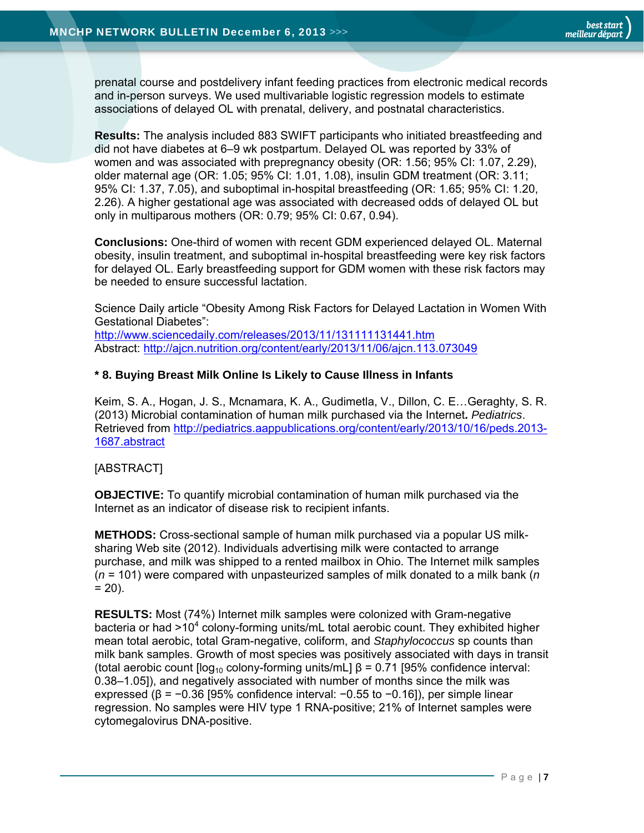prenatal course and postdelivery infant feeding practices from electronic medical records and in-person surveys. We used multivariable logistic regression models to estimate associations of delayed OL with prenatal, delivery, and postnatal characteristics.

**Results:** The analysis included 883 SWIFT participants who initiated breastfeeding and did not have diabetes at 6–9 wk postpartum. Delayed OL was reported by 33% of women and was associated with prepregnancy obesity (OR: 1.56; 95% CI: 1.07, 2.29), older maternal age (OR: 1.05; 95% CI: 1.01, 1.08), insulin GDM treatment (OR: 3.11; 95% CI: 1.37, 7.05), and suboptimal in-hospital breastfeeding (OR: 1.65; 95% CI: 1.20, 2.26). A higher gestational age was associated with decreased odds of delayed OL but only in multiparous mothers (OR: 0.79; 95% CI: 0.67, 0.94).

**Conclusions:** One-third of women with recent GDM experienced delayed OL. Maternal obesity, insulin treatment, and suboptimal in-hospital breastfeeding were key risk factors for delayed OL. Early breastfeeding support for GDM women with these risk factors may be needed to ensure successful lactation.

Science Daily article "Obesity Among Risk Factors for Delayed Lactation in Women With Gestational Diabetes": http://www.sciencedaily.com/releases/2013/11/131111131441.htm Abstract: http://ajcn.nutrition.org/content/early/2013/11/06/ajcn.113.073049

#### **\* 8. Buying Breast Milk Online Is Likely to Cause Illness in Infants**

Keim, S. A., Hogan, J. S., Mcnamara, K. A., Gudimetla, V., Dillon, C. E…Geraghty, S. R. (2013) Microbial contamination of human milk purchased via the Internet**.** *Pediatrics*. Retrieved from http://pediatrics.aappublications.org/content/early/2013/10/16/peds.2013- 1687.abstract

#### [ABSTRACT]

**OBJECTIVE:** To quantify microbial contamination of human milk purchased via the Internet as an indicator of disease risk to recipient infants.

**METHODS:** Cross-sectional sample of human milk purchased via a popular US milksharing Web site (2012). Individuals advertising milk were contacted to arrange purchase, and milk was shipped to a rented mailbox in Ohio. The Internet milk samples (*n* = 101) were compared with unpasteurized samples of milk donated to a milk bank (*n*  $= 20$ ).

**RESULTS:** Most (74%) Internet milk samples were colonized with Gram-negative bacteria or had >10<sup>4</sup> colony-forming units/mL total aerobic count. They exhibited higher mean total aerobic, total Gram-negative, coliform, and *Staphylococcus* sp counts than milk bank samples. Growth of most species was positively associated with days in transit (total aerobic count  $\log_{10}$  colony-forming units/mL]  $\beta$  = 0.71 [95% confidence interval: 0.38–1.05]), and negatively associated with number of months since the milk was expressed (β =  $-0.36$  [95% confidence interval:  $-0.55$  to  $-0.16$ ]), per simple linear regression. No samples were HIV type 1 RNA-positive; 21% of Internet samples were cytomegalovirus DNA-positive.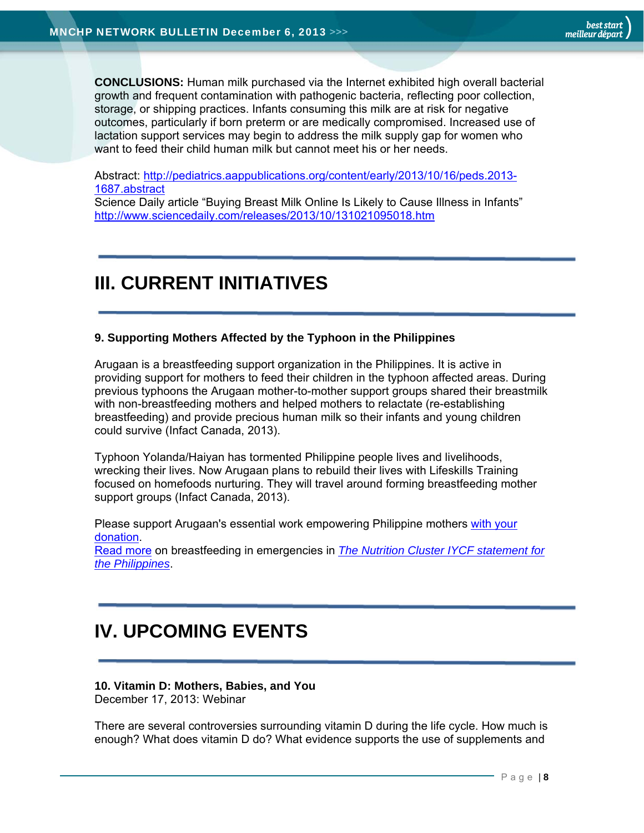**CONCLUSIONS:** Human milk purchased via the Internet exhibited high overall bacterial growth and frequent contamination with pathogenic bacteria, reflecting poor collection, storage, or shipping practices. Infants consuming this milk are at risk for negative outcomes, particularly if born preterm or are medically compromised. Increased use of lactation support services may begin to address the milk supply gap for women who want to feed their child human milk but cannot meet his or her needs.

Abstract: http://pediatrics.aappublications.org/content/early/2013/10/16/peds.2013- 1687.abstract

Science Daily article "Buying Breast Milk Online Is Likely to Cause Illness in Infants" http://www.sciencedaily.com/releases/2013/10/131021095018.htm

# **III. CURRENT INITIATIVES**

#### **9. Supporting Mothers Affected by the Typhoon in the Philippines**

Arugaan is a breastfeeding support organization in the Philippines. It is active in providing support for mothers to feed their children in the typhoon affected areas. During previous typhoons the Arugaan mother-to-mother support groups shared their breastmilk with non-breastfeeding mothers and helped mothers to relactate (re-establishing breastfeeding) and provide precious human milk so their infants and young children could survive (Infact Canada, 2013).

Typhoon Yolanda/Haiyan has tormented Philippine people lives and livelihoods, wrecking their lives. Now Arugaan plans to rebuild their lives with Lifeskills Training focused on homefoods nurturing. They will travel around forming breastfeeding mother support groups (Infact Canada, 2013).

Please support Arugaan's essential work empowering Philippine mothers with your donation. Read more on breastfeeding in emergencies in *The Nutrition Cluster IYCF statement for the Philippines*.

# **IV. UPCOMING EVENTS**

## **10. Vitamin D: Mothers, Babies, and You**

December 17, 2013: Webinar

There are several controversies surrounding vitamin D during the life cycle. How much is enough? What does vitamin D do? What evidence supports the use of supplements and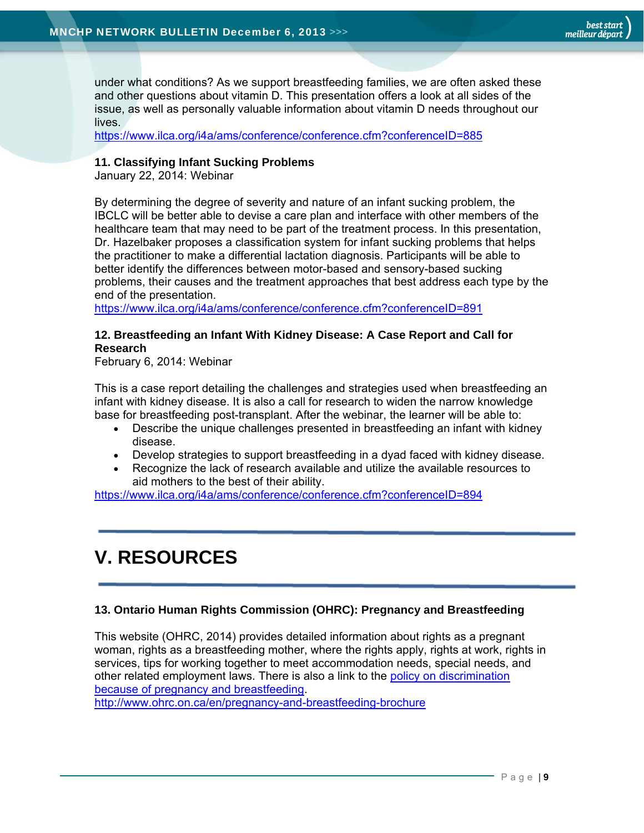under what conditions? As we support breastfeeding families, we are often asked these and other questions about vitamin D. This presentation offers a look at all sides of the issue, as well as personally valuable information about vitamin D needs throughout our lives.

https://www.ilca.org/i4a/ams/conference/conference.cfm?conferenceID=885

#### **11. Classifying Infant Sucking Problems**

January 22, 2014: Webinar

By determining the degree of severity and nature of an infant sucking problem, the IBCLC will be better able to devise a care plan and interface with other members of the healthcare team that may need to be part of the treatment process. In this presentation, Dr. Hazelbaker proposes a classification system for infant sucking problems that helps the practitioner to make a differential lactation diagnosis. Participants will be able to better identify the differences between motor-based and sensory-based sucking problems, their causes and the treatment approaches that best address each type by the end of the presentation.

https://www.ilca.org/i4a/ams/conference/conference.cfm?conferenceID=891

#### **12. Breastfeeding an Infant With Kidney Disease: A Case Report and Call for Research**

February 6, 2014: Webinar

This is a case report detailing the challenges and strategies used when breastfeeding an infant with kidney disease. It is also a call for research to widen the narrow knowledge base for breastfeeding post-transplant. After the webinar, the learner will be able to:

- Describe the unique challenges presented in breastfeeding an infant with kidney disease.
- Develop strategies to support breastfeeding in a dyad faced with kidney disease.
- Recognize the lack of research available and utilize the available resources to aid mothers to the best of their ability.

https://www.ilca.org/i4a/ams/conference/conference.cfm?conferenceID=894

# **V. RESOURCES**

#### **13. Ontario Human Rights Commission (OHRC): Pregnancy and Breastfeeding**

This website (OHRC, 2014) provides detailed information about rights as a pregnant woman, rights as a breastfeeding mother, where the rights apply, rights at work, rights in services, tips for working together to meet accommodation needs, special needs, and other related employment laws. There is also a link to the policy on discrimination because of pregnancy and breastfeeding.

http://www.ohrc.on.ca/en/pregnancy-and-breastfeeding-brochure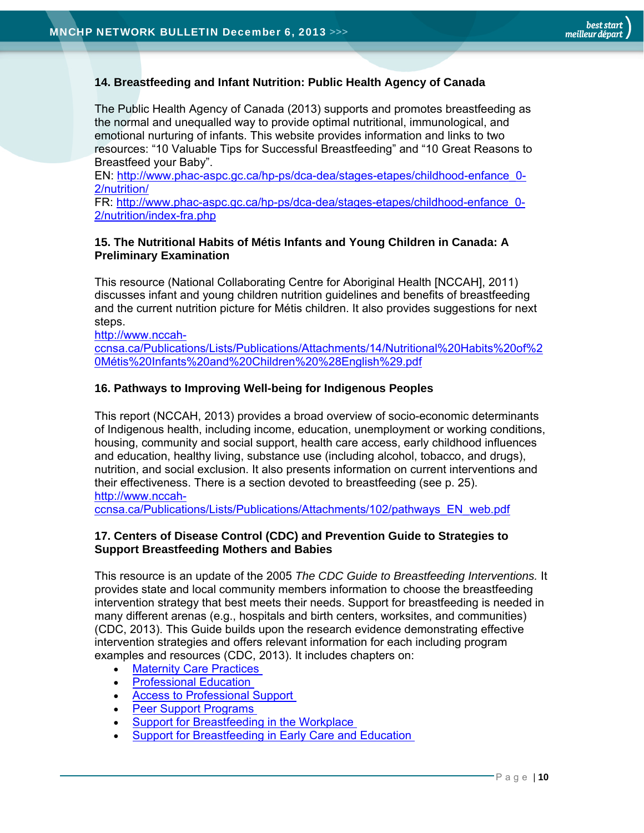#### **14. Breastfeeding and Infant Nutrition: Public Health Agency of Canada**

The Public Health Agency of Canada (2013) supports and promotes breastfeeding as the normal and unequalled way to provide optimal nutritional, immunological, and emotional nurturing of infants. This website provides information and links to two resources: "10 Valuable Tips for Successful Breastfeeding" and "10 Great Reasons to Breastfeed your Baby".

EN: http://www.phac-aspc.gc.ca/hp-ps/dca-dea/stages-etapes/childhood-enfance\_0- 2/nutrition/

FR: http://www.phac-aspc.gc.ca/hp-ps/dca-dea/stages-etapes/childhood-enfance\_0- 2/nutrition/index-fra.php

#### **15. The Nutritional Habits of Métis Infants and Young Children in Canada: A Preliminary Examination**

This resource (National Collaborating Centre for Aboriginal Health [NCCAH], 2011) discusses infant and young children nutrition guidelines and benefits of breastfeeding and the current nutrition picture for Métis children. It also provides suggestions for next steps.

http://www.nccah-

ccnsa.ca/Publications/Lists/Publications/Attachments/14/Nutritional%20Habits%20of%2 0Métis%20Infants%20and%20Children%20%28English%29.pdf

#### **16. Pathways to Improving Well-being for Indigenous Peoples**

This report (NCCAH, 2013) provides a broad overview of socio-economic determinants of Indigenous health, including income, education, unemployment or working conditions, housing, community and social support, health care access, early childhood influences and education, healthy living, substance use (including alcohol, tobacco, and drugs), nutrition, and social exclusion. It also presents information on current interventions and their effectiveness. There is a section devoted to breastfeeding (see p. 25). http://www.nccah-

ccnsa.ca/Publications/Lists/Publications/Attachments/102/pathways\_EN\_web.pdf

#### **17. Centers of Disease Control (CDC) and Prevention Guide to Strategies to Support Breastfeeding Mothers and Babies**

This resource is an update of the 2005 *The CDC Guide to Breastfeeding Interventions.* It provides state and local community members information to choose the breastfeeding intervention strategy that best meets their needs. Support for breastfeeding is needed in many different arenas (e.g., hospitals and birth centers, worksites, and communities) (CDC, 2013). This Guide builds upon the research evidence demonstrating effective intervention strategies and offers relevant information for each including program examples and resources (CDC, 2013). It includes chapters on:

- Maternity Care Practices
- Professional Education
- Access to Professional Support
- Peer Support Programs
- Support for Breastfeeding in the Workplace
- Support for Breastfeeding in Early Care and Education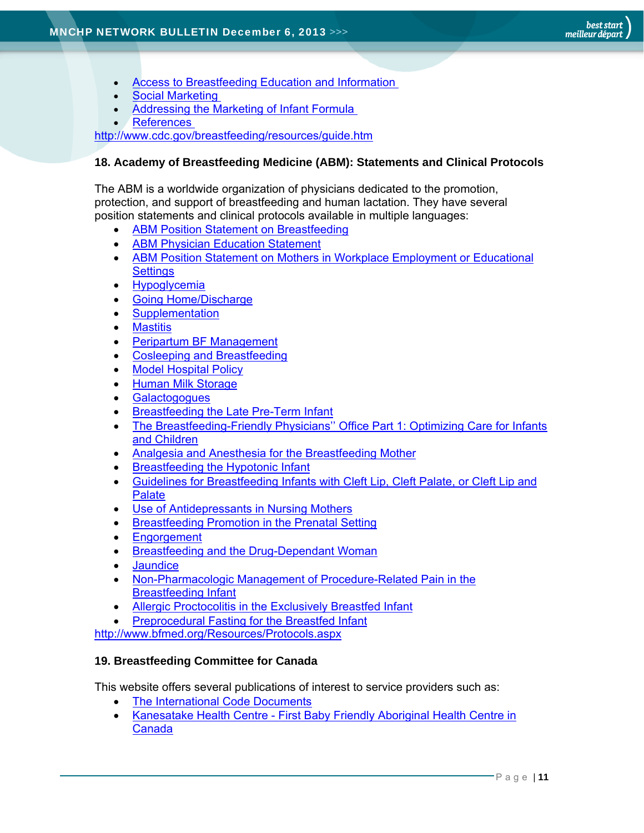- Access to Breastfeeding Education and Information
- Social Marketing
- Addressing the Marketing of Infant Formula
- References

http://www.cdc.gov/breastfeeding/resources/guide.htm

#### **18. Academy of Breastfeeding Medicine (ABM): Statements and Clinical Protocols**

The ABM is a worldwide organization of physicians dedicated to the promotion, protection, and support of breastfeeding and human lactation. They have several position statements and clinical protocols available in multiple languages:

- ABM Position Statement on Breastfeeding
- ABM Physician Education Statement
- ABM Position Statement on Mothers in Workplace Employment or Educational **Settings**
- Hypoglycemia
- Going Home/Discharge
- Supplementation
- Mastitis
- Peripartum BF Management
- Cosleeping and Breastfeeding
- Model Hospital Policy
- Human Milk Storage
- **Galactogogues**
- Breastfeeding the Late Pre-Term Infant
- The Breastfeeding-Friendly Physicians" Office Part 1: Optimizing Care for Infants and Children
- Analgesia and Anesthesia for the Breastfeeding Mother
- Breastfeeding the Hypotonic Infant
- Guidelines for Breastfeeding Infants with Cleft Lip, Cleft Palate, or Cleft Lip and **Palate**
- Use of Antidepressants in Nursing Mothers
- **Breastfeeding Promotion in the Prenatal Setting**
- Engorgement
- Breastfeeding and the Drug-Dependant Woman
- **Jaundice**
- Non-Pharmacologic Management of Procedure-Related Pain in the Breastfeeding Infant
- Allergic Proctocolitis in the Exclusively Breastfed Infant
- Preprocedural Fasting for the Breastfed Infant

http://www.bfmed.org/Resources/Protocols.aspx

#### **19. Breastfeeding Committee for Canada**

This website offers several publications of interest to service providers such as:

- The International Code Documents
- Kanesatake Health Centre First Baby Friendly Aboriginal Health Centre in Canada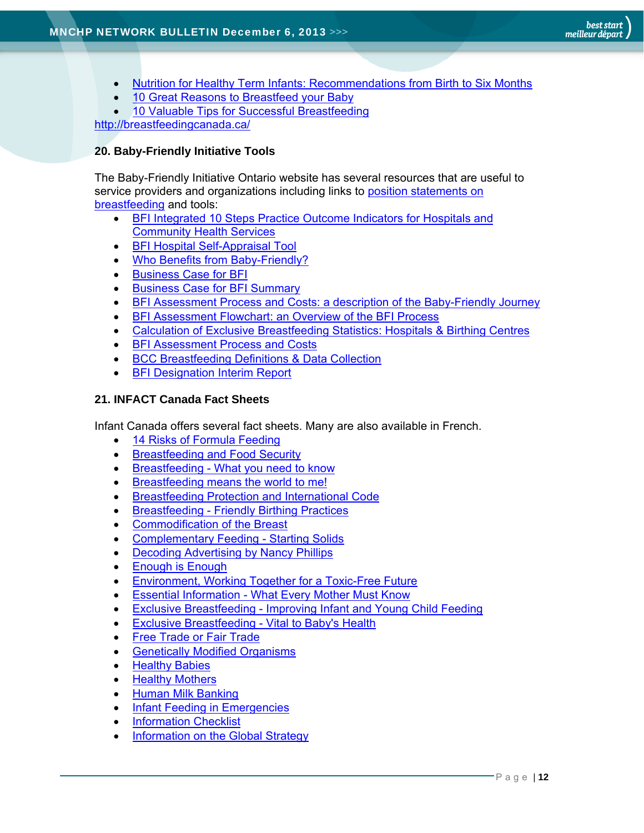- Nutrition for Healthy Term Infants: Recommendations from Birth to Six Months
- 10 Great Reasons to Breastfeed your Baby
- 10 Valuable Tips for Successful Breastfeeding http://breastfeedingcanada.ca/

#### **20. Baby-Friendly Initiative Tools**

The Baby-Friendly Initiative Ontario website has several resources that are useful to service providers and organizations including links to position statements on breastfeeding and tools:

- BFI Integrated 10 Steps Practice Outcome Indicators for Hospitals and Community Health Services
- **•** BFI Hospital Self-Appraisal Tool
- Who Benefits from Baby-Friendly?
- Business Case for BFI
- Business Case for BFI Summary
- BFI Assessment Process and Costs: a description of the Baby-Friendly Journey
- BFI Assessment Flowchart: an Overview of the BFI Process
- Calculation of Exclusive Breastfeeding Statistics: Hospitals & Birthing Centres
- BFI Assessment Process and Costs
- BCC Breastfeeding Definitions & Data Collection
- BFI Designation Interim Report

#### **21. INFACT Canada Fact Sheets**

Infant Canada offers several fact sheets. Many are also available in French.

- 14 Risks of Formula Feeding
- Breastfeeding and Food Security
- Breastfeeding What you need to know
- **Breastfeeding means the world to me!**
- Breastfeeding Protection and International Code
- Breastfeeding Friendly Birthing Practices
- Commodification of the Breast
- Complementary Feeding Starting Solids
- Decoding Advertising by Nancy Phillips
- Enough is Enough
- Environment, Working Together for a Toxic-Free Future
- Essential Information What Every Mother Must Know
- Exclusive Breastfeeding Improving Infant and Young Child Feeding
- Exclusive Breastfeeding Vital to Baby's Health
- **•** Free Trade or Fair Trade
- Genetically Modified Organisms
- **Healthy Babies**
- Healthy Mothers
- Human Milk Banking
- Infant Feeding in Emergencies
- Information Checklist
- Information on the Global Strategy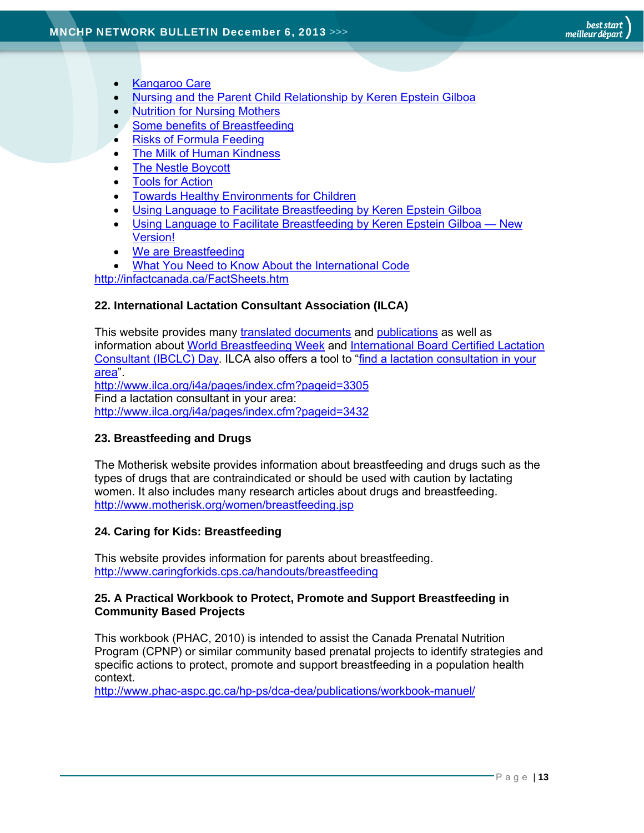- Kangaroo Care
- Nursing and the Parent Child Relationship by Keren Epstein Gilboa
- Nutrition for Nursing Mothers
- Some benefits of Breastfeeding
- Risks of Formula Feeding
- The Milk of Human Kindness
- The Nestle Boycott
- Tools for Action
- Towards Healthy Environments for Children
- Using Language to Facilitate Breastfeeding by Keren Epstein Gilboa
- Using Language to Facilitate Breastfeeding by Keren Epstein Gilboa New Version!
- We are Breastfeeding
- What You Need to Know About the International Code

http://infactcanada.ca/FactSheets.htm

#### **22. International Lactation Consultant Association (ILCA)**

This website provides many translated documents and publications as well as information about World Breastfeeding Week and International Board Certified Lactation Consultant (IBCLC) Day. ILCA also offers a tool to "find a lactation consultation in your area". http://www.ilca.org/i4a/pages/index.cfm?pageid=3305 Find a lactation consultant in your area: http://www.ilca.org/i4a/pages/index.cfm?pageid=3432

#### **23. Breastfeeding and Drugs**

The Motherisk website provides information about breastfeeding and drugs such as the types of drugs that are contraindicated or should be used with caution by lactating women. It also includes many research articles about drugs and breastfeeding. http://www.motherisk.org/women/breastfeeding.jsp

#### **24. Caring for Kids: Breastfeeding**

This website provides information for parents about breastfeeding. http://www.caringforkids.cps.ca/handouts/breastfeeding

#### **25. A Practical Workbook to Protect, Promote and Support Breastfeeding in Community Based Projects**

This workbook (PHAC, 2010) is intended to assist the Canada Prenatal Nutrition Program (CPNP) or similar community based prenatal projects to identify strategies and specific actions to protect, promote and support breastfeeding in a population health context.

http://www.phac-aspc.gc.ca/hp-ps/dca-dea/publications/workbook-manuel/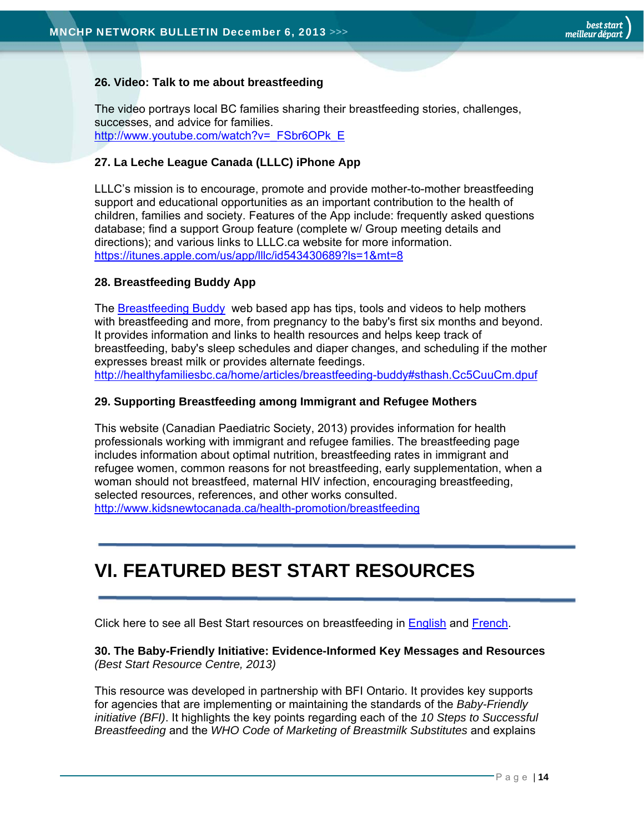#### **26. Video: Talk to me about breastfeeding**

The video portrays local BC families sharing their breastfeeding stories, challenges, successes, and advice for families. http://www.youtube.com/watch?v=\_FSbr6OPk\_E

#### **27. La Leche League Canada (LLLC) iPhone App**

LLLC's mission is to encourage, promote and provide mother-to-mother breastfeeding support and educational opportunities as an important contribution to the health of children, families and society. Features of the App include: frequently asked questions database; find a support Group feature (complete w/ Group meeting details and directions); and various links to LLLC.ca website for more information. https://itunes.apple.com/us/app/lllc/id543430689?ls=1&mt=8

#### **28. Breastfeeding Buddy App**

The Breastfeeding Buddy web based app has tips, tools and videos to help mothers with breastfeeding and more, from pregnancy to the baby's first six months and beyond. It provides information and links to health resources and helps keep track of breastfeeding, baby's sleep schedules and diaper changes, and scheduling if the mother expresses breast milk or provides alternate feedings. http://healthyfamiliesbc.ca/home/articles/breastfeeding-buddy#sthash.Cc5CuuCm.dpuf

#### **29. Supporting Breastfeeding among Immigrant and Refugee Mothers**

This website (Canadian Paediatric Society, 2013) provides information for health professionals working with immigrant and refugee families. The breastfeeding page includes information about optimal nutrition, breastfeeding rates in immigrant and refugee women, common reasons for not breastfeeding, early supplementation, when a woman should not breastfeed, maternal HIV infection, encouraging breastfeeding, selected resources, references, and other works consulted. http://www.kidsnewtocanada.ca/health-promotion/breastfeeding

# **VI. FEATURED BEST START RESOURCES**

Click here to see all Best Start resources on breastfeeding in English and French.

#### **30. The Baby-Friendly Initiative: Evidence-Informed Key Messages and Resources**  *(Best Start Resource Centre, 2013)*

This resource was developed in partnership with BFI Ontario. It provides key supports for agencies that are implementing or maintaining the standards of the *Baby-Friendly initiative (BFI)*. It highlights the key points regarding each of the *10 Steps to Successful Breastfeeding* and the *WHO Code of Marketing of Breastmilk Substitutes* and explains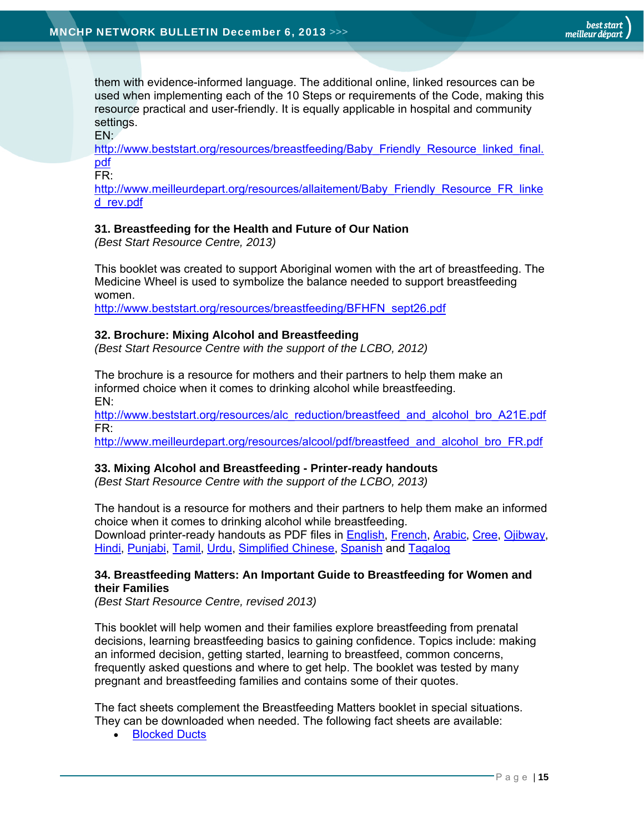them with evidence-informed language. The additional online, linked resources can be used when implementing each of the 10 Steps or requirements of the Code, making this resource practical and user-friendly. It is equally applicable in hospital and community settings.

EN:

http://www.beststart.org/resources/breastfeeding/Baby\_Friendly\_Resource\_linked\_final. pdf

FR:

http://www.meilleurdepart.org/resources/allaitement/Baby\_Friendly\_Resource\_FR\_linke d\_rev.pdf

#### **31. Breastfeeding for the Health and Future of Our Nation**

*(Best Start Resource Centre, 2013)*

This booklet was created to support Aboriginal women with the art of breastfeeding. The Medicine Wheel is used to symbolize the balance needed to support breastfeeding women.

http://www.beststart.org/resources/breastfeeding/BFHFN\_sept26.pdf

#### **32. Brochure: Mixing Alcohol and Breastfeeding**

*(Best Start Resource Centre with the support of the LCBO, 2012)*

The brochure is a resource for mothers and their partners to help them make an informed choice when it comes to drinking alcohol while breastfeeding. EN:

http://www.beststart.org/resources/alc\_reduction/breastfeed\_and\_alcohol\_bro\_A21E.pdf FR:

http://www.meilleurdepart.org/resources/alcool/pdf/breastfeed\_and\_alcohol\_bro\_FR.pdf

#### **33. Mixing Alcohol and Breastfeeding - Printer-ready handouts**

*(Best Start Resource Centre with the support of the LCBO, 2013)*

The handout is a resource for mothers and their partners to help them make an informed choice when it comes to drinking alcohol while breastfeeding. Download printer-ready handouts as PDF files in English, French, Arabic, Cree, Ojibway, Hindi, Punjabi, Tamil, Urdu, Simplified Chinese, Spanish and Tagalog

#### **34. Breastfeeding Matters: An Important Guide to Breastfeeding for Women and their Families**

*(Best Start Resource Centre, revised 2013)* 

This booklet will help women and their families explore breastfeeding from prenatal decisions, learning breastfeeding basics to gaining confidence. Topics include: making an informed decision, getting started, learning to breastfeed, common concerns, frequently asked questions and where to get help. The booklet was tested by many pregnant and breastfeeding families and contains some of their quotes.

The fact sheets complement the Breastfeeding Matters booklet in special situations. They can be downloaded when needed. The following fact sheets are available:

Blocked Ducts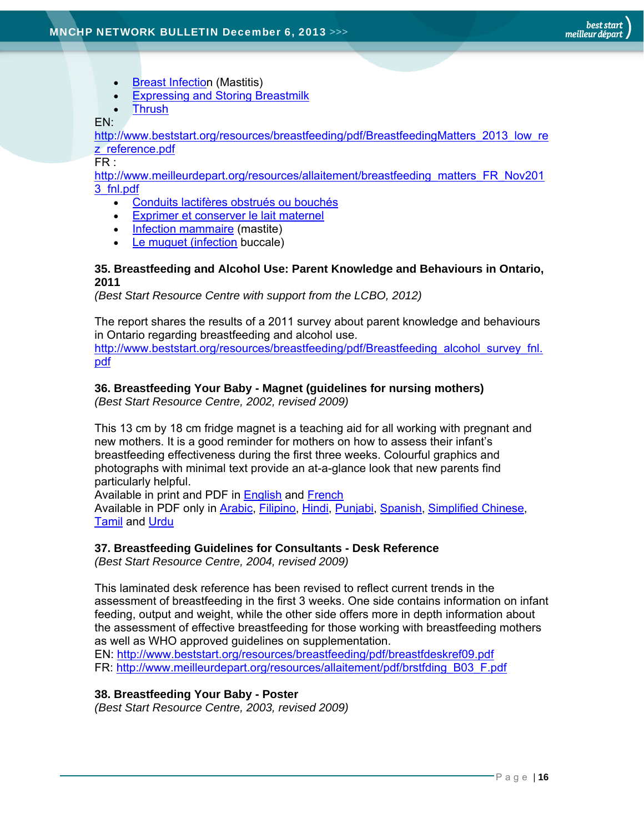- Breast Infection (Mastitis)
- **Expressing and Storing Breastmilk**
- **Thrush**

#### EN:

http://www.beststart.org/resources/breastfeeding/pdf/BreastfeedingMatters\_2013\_low\_re z\_reference.pdf

#### FR :

http://www.meilleurdepart.org/resources/allaitement/breastfeeding\_matters\_FR\_Nov201 3\_fnl.pdf

- Conduits lactifères obstrués ou bouchés
- Exprimer et conserver le lait maternel
- Infection mammaire (mastite)
- Le muguet (infection buccale)

#### **35. Breastfeeding and Alcohol Use: Parent Knowledge and Behaviours in Ontario, 2011**

*(Best Start Resource Centre with support from the LCBO, 2012)*

The report shares the results of a 2011 survey about parent knowledge and behaviours in Ontario regarding breastfeeding and alcohol use.

http://www.beststart.org/resources/breastfeeding/pdf/Breastfeeding\_alcohol\_survey\_fnl. pdf

#### **36. Breastfeeding Your Baby - Magnet (guidelines for nursing mothers)**

*(Best Start Resource Centre, 2002, revised 2009)*

This 13 cm by 18 cm fridge magnet is a teaching aid for all working with pregnant and new mothers. It is a good reminder for mothers on how to assess their infant's breastfeeding effectiveness during the first three weeks. Colourful graphics and photographs with minimal text provide an at-a-glance look that new parents find particularly helpful.

Available in print and PDF in English and French

Available in PDF only in Arabic, Filipino, Hindi, Punjabi, Spanish, Simplified Chinese, Tamil and Urdu

#### **37. Breastfeeding Guidelines for Consultants - Desk Reference**

*(Best Start Resource Centre, 2004, revised 2009)*

This laminated desk reference has been revised to reflect current trends in the assessment of breastfeeding in the first 3 weeks. One side contains information on infant feeding, output and weight, while the other side offers more in depth information about the assessment of effective breastfeeding for those working with breastfeeding mothers as well as WHO approved guidelines on supplementation.

EN: http://www.beststart.org/resources/breastfeeding/pdf/breastfdeskref09.pdf FR: http://www.meilleurdepart.org/resources/allaitement/pdf/brstfding\_B03\_F.pdf

#### **38. Breastfeeding Your Baby - Poster**

*(Best Start Resource Centre, 2003, revised 2009)*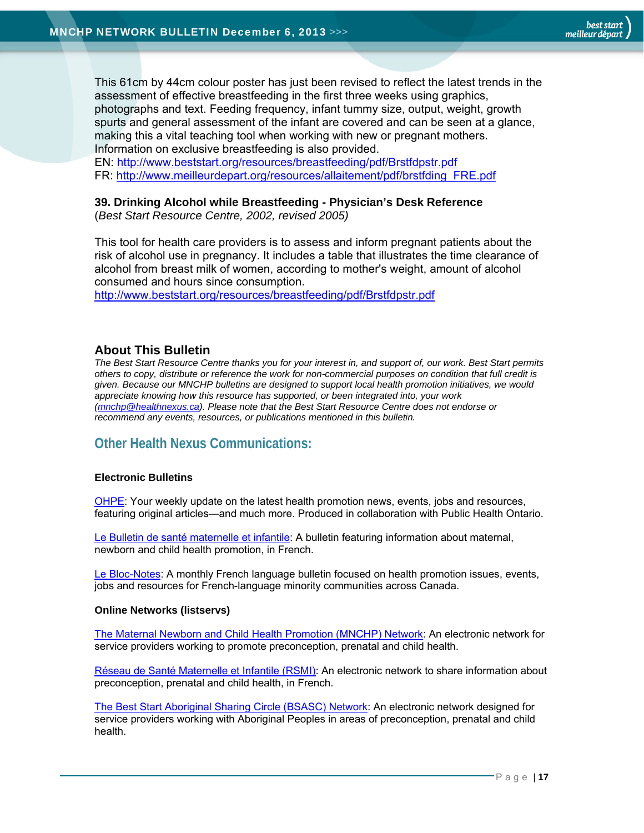This 61cm by 44cm colour poster has just been revised to reflect the latest trends in the assessment of effective breastfeeding in the first three weeks using graphics, photographs and text. Feeding frequency, infant tummy size, output, weight, growth spurts and general assessment of the infant are covered and can be seen at a glance, making this a vital teaching tool when working with new or pregnant mothers. Information on exclusive breastfeeding is also provided.

EN: http://www.beststart.org/resources/breastfeeding/pdf/Brstfdpstr.pdf FR: http://www.meilleurdepart.org/resources/allaitement/pdf/brstfding\_FRE.pdf

#### **39. Drinking Alcohol while Breastfeeding - Physician's Desk Reference**

(*Best Start Resource Centre, 2002, revised 2005)*

This tool for health care providers is to assess and inform pregnant patients about the risk of alcohol use in pregnancy. It includes a table that illustrates the time clearance of alcohol from breast milk of women, according to mother's weight, amount of alcohol consumed and hours since consumption.

http://www.beststart.org/resources/breastfeeding/pdf/Brstfdpstr.pdf

#### **About This Bulletin**

*The Best Start Resource Centre thanks you for your interest in, and support of, our work. Best Start permits others to copy, distribute or reference the work for non-commercial purposes on condition that full credit is given. Because our MNCHP bulletins are designed to support local health promotion initiatives, we would appreciate knowing how this resource has supported, or been integrated into, your work (mnchp@healthnexus.ca). Please note that the Best Start Resource Centre does not endorse or recommend any events, resources, or publications mentioned in this bulletin.* 

## **Other Health Nexus Communications:**

#### **Electronic Bulletins**

OHPE: Your weekly update on the latest health promotion news, events, jobs and resources, featuring original articles—and much more. Produced in collaboration with Public Health Ontario.

Le Bulletin de santé maternelle et infantile: A bulletin featuring information about maternal, newborn and child health promotion, in French.

Le Bloc-Notes: A monthly French language bulletin focused on health promotion issues, events, jobs and resources for French-language minority communities across Canada.

#### **Online Networks (listservs)**

The Maternal Newborn and Child Health Promotion (MNCHP) Network: An electronic network for service providers working to promote preconception, prenatal and child health.

Réseau de Santé Maternelle et Infantile (RSMI): An electronic network to share information about preconception, prenatal and child health, in French.

The Best Start Aboriginal Sharing Circle (BSASC) Network: An electronic network designed for service providers working with Aboriginal Peoples in areas of preconception, prenatal and child health.